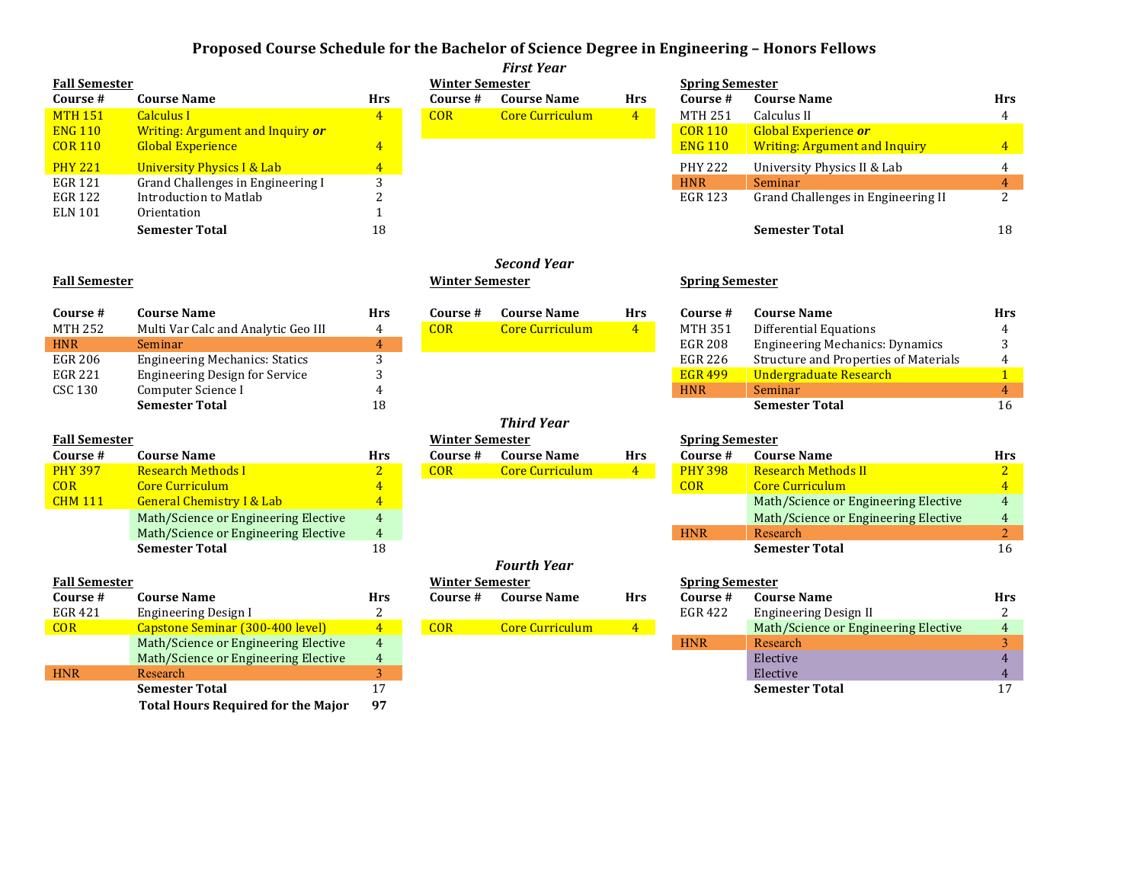## **Proposed Course Schedule for the Bachelor of Science Degree in Engineering – Honors Fellows**

|                      |                                           |                |                        | <b>First Year</b>      |                        |                        |                                        |                  |
|----------------------|-------------------------------------------|----------------|------------------------|------------------------|------------------------|------------------------|----------------------------------------|------------------|
| <b>Fall Semester</b> |                                           |                | <b>Winter Semester</b> |                        |                        | <b>Spring Semester</b> |                                        |                  |
| Course #             | <b>Course Name</b>                        | <b>Hrs</b>     | Course #               | <b>Course Name</b>     | <b>Hrs</b>             | Course #               | <b>Course Name</b>                     | Hrs              |
| <b>MTH 151</b>       | <b>Calculus I</b>                         | $\overline{4}$ | <b>COR</b>             | <b>Core Curriculum</b> | 4 <sup>1</sup>         | <b>MTH 251</b>         | Calculus II                            | $\overline{4}$   |
| <b>ENG 110</b>       | Writing: Argument and Inquiry or          |                |                        |                        |                        | <b>COR 110</b>         | Global Experience or                   |                  |
| <b>COR 110</b>       | <b>Global Experience</b>                  | $\overline{4}$ |                        |                        |                        | <b>ENG 110</b>         | <b>Writing: Argument and Inquiry</b>   | $\overline{4}$   |
| <b>PHY 221</b>       | <b>University Physics I &amp; Lab</b>     | $\overline{4}$ |                        |                        |                        | <b>PHY 222</b>         | University Physics II & Lab            | $\overline{4}$   |
| <b>EGR 121</b>       | Grand Challenges in Engineering I         | 3              |                        |                        |                        | <b>HNR</b>             | Seminar                                | $\overline{4}$   |
| <b>EGR 122</b>       | Introduction to Matlab                    | 2              |                        |                        |                        | <b>EGR 123</b>         | Grand Challenges in Engineering II     | 2                |
| <b>ELN 101</b>       | Orientation                               | $\mathbf{1}$   |                        |                        |                        |                        |                                        |                  |
|                      | <b>Semester Total</b>                     | 18             |                        |                        |                        |                        | <b>Semester Total</b>                  | 18               |
|                      |                                           |                |                        |                        |                        |                        |                                        |                  |
|                      |                                           |                |                        | <b>Second Year</b>     |                        |                        |                                        |                  |
| <b>Fall Semester</b> |                                           |                | <b>Winter Semester</b> |                        |                        | <b>Spring Semester</b> |                                        |                  |
|                      |                                           |                |                        |                        |                        |                        |                                        |                  |
| Course #             | <b>Course Name</b>                        | <b>Hrs</b>     | Course #               | <b>Course Name</b>     | <b>Hrs</b>             | Course #               | <b>Course Name</b>                     | <b>Hrs</b>       |
| <b>MTH 252</b>       | Multi Var Calc and Analytic Geo III       | $\overline{4}$ | COR                    | <b>Core Curriculum</b> | $\vert 4 \vert$        | <b>MTH 351</b>         | <b>Differential Equations</b>          | 4                |
| <b>HNR</b>           | Seminar                                   | $\overline{4}$ |                        |                        |                        | <b>EGR 208</b>         | <b>Engineering Mechanics: Dynamics</b> | 3                |
| <b>EGR 206</b>       | <b>Engineering Mechanics: Statics</b>     | 3              |                        |                        |                        | <b>EGR 226</b>         | Structure and Properties of Materials  | 4                |
| <b>EGR 221</b>       | <b>Engineering Design for Service</b>     | 3              |                        |                        |                        | <b>EGR 499</b>         | <b>Undergraduate Research</b>          | $\mathbf{1}$     |
| <b>CSC 130</b>       | Computer Science I                        | 4              |                        |                        |                        | <b>HNR</b>             | Seminar                                | $\overline{4}$   |
|                      | <b>Semester Total</b>                     | 18             |                        |                        |                        |                        | <b>Semester Total</b>                  | 16               |
|                      |                                           |                |                        | <b>Third Year</b>      |                        |                        |                                        |                  |
| <b>Fall Semester</b> |                                           |                | <b>Winter Semester</b> |                        | <b>Spring Semester</b> |                        |                                        |                  |
| Course #             | <b>Course Name</b>                        | <b>Hrs</b>     | Course #               | <b>Course Name</b>     | <b>Hrs</b>             | Course #               | <b>Course Name</b>                     | <b>Hrs</b>       |
| <b>PHY 397</b>       | <b>Research Methods I</b>                 | $\overline{2}$ | COR                    | <b>Core Curriculum</b> | $4 -$                  | <b>PHY 398</b>         | <b>Research Methods II</b>             | 2 <sup>2</sup>   |
| <b>COR</b>           | <b>Core Curriculum</b>                    | $\overline{4}$ |                        |                        |                        | <b>COR</b>             | <b>Core Curriculum</b>                 | $\overline{4}$   |
| <b>CHM 111</b>       | <b>General Chemistry I &amp; Lab</b>      | $\overline{4}$ |                        |                        |                        |                        | Math/Science or Engineering Elective   | $\overline{4}$   |
|                      | Math/Science or Engineering Elective      | $\overline{4}$ |                        |                        |                        |                        | Math/Science or Engineering Elective   | $\overline{4}$   |
|                      | Math/Science or Engineering Elective      | $\overline{4}$ |                        |                        |                        | <b>HNR</b>             | Research                               | $\overline{2}$   |
|                      | <b>Semester Total</b>                     | 18             |                        |                        |                        |                        | <b>Semester Total</b>                  | 16               |
|                      |                                           |                |                        | <b>Fourth Year</b>     |                        |                        |                                        |                  |
| <b>Fall Semester</b> |                                           |                | <b>Winter Semester</b> |                        | <b>Spring Semester</b> |                        |                                        |                  |
| Course #             | <b>Course Name</b>                        | <b>Hrs</b>     | Course #               | <b>Course Name</b>     | <b>Hrs</b>             | Course #               | <b>Course Name</b>                     | Hrs              |
| <b>EGR 421</b>       | <b>Engineering Design I</b>               | 2              |                        |                        |                        | EGR 422                | <b>Engineering Design II</b>           | 2                |
| <b>COR</b>           | Capstone Seminar (300-400 level)          | $\overline{4}$ | <b>COR</b>             | <b>Core Curriculum</b> | $4 -$                  |                        | Math/Science or Engineering Elective   | $\boldsymbol{4}$ |
|                      | Math/Science or Engineering Elective      | $\overline{4}$ |                        |                        |                        | <b>HNR</b>             | Research                               | $\overline{3}$   |
|                      | Math/Science or Engineering Elective      | $\overline{4}$ |                        |                        |                        |                        | Elective                               | $\overline{4}$   |
| <b>HNR</b>           | Research                                  | 3              |                        |                        |                        |                        | Elective                               | 4                |
|                      | <b>Semester Total</b>                     | 17             |                        |                        |                        |                        | <b>Semester Total</b>                  | 17               |
|                      | <b>Total Hours Required for the Major</b> | 97             |                        |                        |                        |                        |                                        |                  |